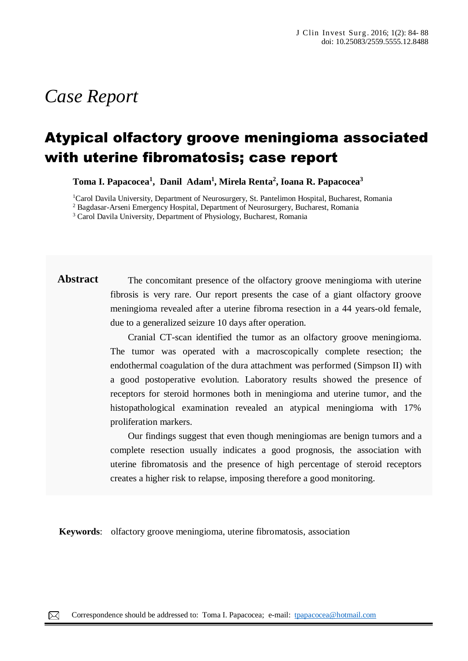# *Case Report*

## Atypical olfactory groove meningioma associated with uterine fibromatosis; case report

**Toma I. Papacocea<sup>1</sup> , Danil Adam<sup>1</sup> , Mirela Renta<sup>2</sup> , Ioana R. Papacocea<sup>3</sup>**

<sup>1</sup>Carol Davila University, Department of Neurosurgery, St. Pantelimon Hospital, Bucharest, Romania

<sup>2</sup> Bagdasar-Arseni Emergency Hospital, Department of Neurosurgery, Bucharest, Romania

<sup>3</sup> Carol Davila University, Department of Physiology, Bucharest, Romania

**Abstract** The concomitant presence of the olfactory groove meningioma with uterine fibrosis is very rare. Our report presents the case of a giant olfactory groove meningioma revealed after a uterine fibroma resection in a 44 years-old female, due to a generalized seizure 10 days after operation.

> Cranial CT-scan identified the tumor as an olfactory groove meningioma. The tumor was operated with a macroscopically complete resection; the endothermal coagulation of the dura attachment was performed (Simpson II) with a good postoperative evolution. Laboratory results showed the presence of receptors for steroid hormones both in meningioma and uterine tumor, and the histopathological examination revealed an atypical meningioma with 17% proliferation markers.

> Our findings suggest that even though meningiomas are benign tumors and a complete resection usually indicates a good prognosis, the association with uterine fibromatosis and the presence of high percentage of steroid receptors creates a higher risk to relapse, imposing therefore a good monitoring.

**Keywords**: olfactory groove meningioma, uterine fibromatosis, association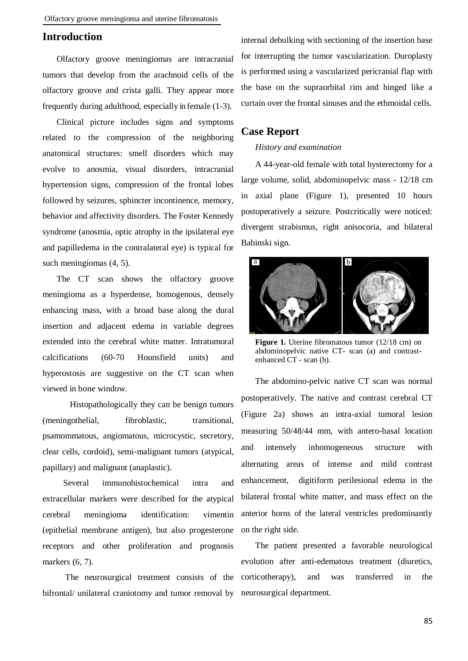## **Introduction**

Olfactory groove meningiomas are intracranial tumors that develop from the arachnoid cells of the olfactory groove and crista galli. They appear more frequently during adulthood, especially in female (1-3).

Clinical picture includes signs and symptoms related to the compression of the neighboring anatomical structures: smell disorders which may evolve to anosmia, visual disorders, intracranial hypertension signs, compression of the frontal lobes followed by seizures, sphincter incontinence, memory, behavior and affectivity disorders. The Foster Kennedy syndrome (anosmia, optic atrophy in the ipsilateral eye and papilledema in the contralateral eye) is typical for such meningiomas (4, 5).

The CT scan shows the olfactory groove meningioma as a hyperdense, homogenous, densely enhancing mass, with a broad base along the dural insertion and adjacent edema in variable degrees extended into the cerebral white matter. Intratumoral calcifications (60-70 Hounsfield units) and hyperostosis are suggestive on the CT scan when viewed in bone window.

 Histopathologically they can be benign tumors (meningothelial, fibroblastic, transitional, psamommatous, angiomatous, microcystic, secretory, clear cells, cordoid), semi-malignant tumors (atypical, papillary) and malignant (anaplastic).

 Several immunohistochemical intra and extracellular markers were described for the atypical cerebral meningioma identification: vimentin (epithelial membrane antigen), but also progesterone receptors and other proliferation and prognosis markers (6, 7).

 The neurosurgical treatment consists of the bifrontal/ unilateral craniotomy and tumor removal by neurosurgical department.

internal debulking with sectioning of the insertion base for interrupting the tumor vascularization. Duroplasty is performed using a vascularized pericranial flap with the base on the supraorbital rim and hinged like a curtain over the frontal sinuses and the ethmoidal cells.

### **Case Report**

#### *History and examination*

A 44-year-old female with total hysterectomy for a large volume, solid, abdominopelvic mass - 12/18 cm in axial plane (Figure 1), presented 10 hours postoperatively a seizure. Postcritically were noticed: divergent strabismus, right anisocoria, and bilateral Babinski sign.



**Figure 1.** Uterine fibromatous tumor (12/18 cm) on abdominopelvic native CT- scan (a) and contrastenhanced CT - scan (b).

The abdomino-pelvic native CT scan was normal postoperatively. The native and contrast cerebral CT (Figure 2a) shows an intra-axial tumoral lesion measuring 50/48/44 mm, with antero-basal location and intensely inhomogeneous structure with alternating areas of intense and mild contrast enhancement, digitiform perilesional edema in the bilateral frontal white matter, and mass effect on the anterior horns of the lateral ventricles predominantly on the right side.

The patient presented a favorable neurological evolution after anti-edematous treatment (diuretics, corticotherapy), and was transferred in the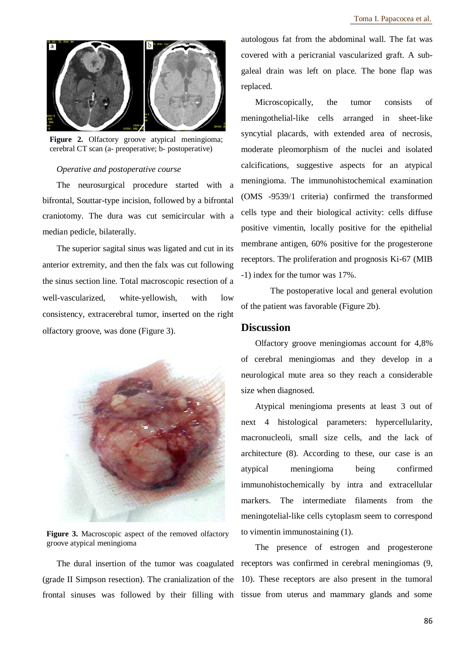

**Figure 2.** Olfactory groove atypical meningioma; cerebral CT scan (a- preoperative; b- postoperative)

#### *Operative and postoperative course*

The neurosurgical procedure started with a bifrontal, Souttar-type incision, followed by a bifrontal craniotomy. The dura was cut semicircular with a median pedicle, bilaterally.

The superior sagital sinus was ligated and cut in its anterior extremity, and then the falx was cut following the sinus section line. Total macroscopic resection of a well-vascularized, white-yellowish, with low consistency, extracerebral tumor, inserted on the right olfactory groove, was done (Figure 3).



**Figure 3.** Macroscopic aspect of the removed olfactory groove atypical meningioma

The dural insertion of the tumor was coagulated (grade II Simpson resection). The cranialization of the frontal sinuses was followed by their filling with

autologous fat from the abdominal wall. The fat was covered with a pericranial vascularized graft. A subgaleal drain was left on place. The bone flap was replaced.

Microscopically, the tumor consists of meningothelial-like cells arranged in sheet-like syncytial placards, with extended area of necrosis, moderate pleomorphism of the nuclei and isolated calcifications, suggestive aspects for an atypical meningioma. The immunohistochemical examination (OMS -9539/1 criteria) confirmed the transformed cells type and their biological activity: cells diffuse positive vimentin, locally positive for the epithelial membrane antigen, 60% positive for the progesterone receptors. The proliferation and prognosis Ki-67 (MIB -1) index for the tumor was 17%.

 The postoperative local and general evolution of the patient was favorable (Figure 2b).

#### **Discussion**

Olfactory groove meningiomas account for 4,8% of cerebral meningiomas and they develop in a neurological mute area so they reach a considerable size when diagnosed.

Atypical meningioma presents at least 3 out of next 4 histological parameters: hypercellularity, macronucleoli, small size cells, and the lack of architecture (8). According to these, our case is an atypical meningioma being confirmed immunohistochemically by intra and extracellular markers. The intermediate filaments from the meningotelial-like cells cytoplasm seem to correspond to vimentin immunostaining (1).

The presence of estrogen and progesterone receptors was confirmed in cerebral meningiomas (9, 10). These receptors are also present in the tumoral tissue from uterus and mammary glands and some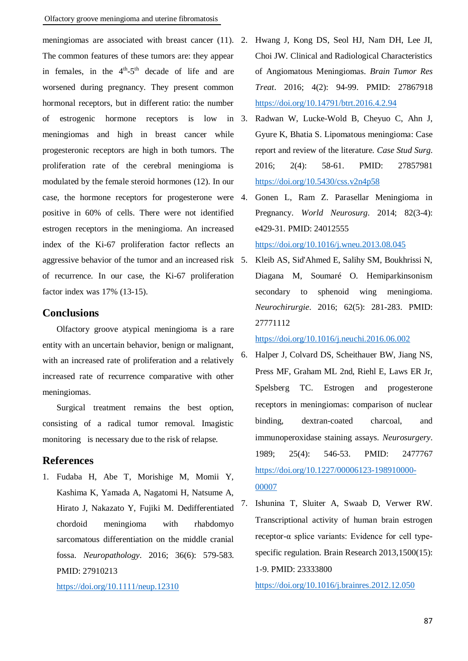meningiomas are associated with breast cancer (11). 2. The common features of these tumors are: they appear in females, in the  $4<sup>th</sup>-5<sup>th</sup>$  decade of life and are worsened during pregnancy. They present common hormonal receptors, but in different ratio: the number of estrogenic hormone receptors is low in meningiomas and high in breast cancer while progesteronic receptors are high in both tumors. The proliferation rate of the cerebral meningioma is modulated by the female steroid hormones (12). In our case, the hormone receptors for progesterone were 4. positive in 60% of cells. There were not identified estrogen receptors in the meningioma. An increased index of the Ki-67 proliferation factor reflects an aggressive behavior of the tumor and an increased risk of recurrence. In our case, the Ki-67 proliferation factor index was 17% (13-15).

## **Conclusions**

Olfactory groove atypical meningioma is a rare entity with an uncertain behavior, benign or malignant, with an increased rate of proliferation and a relatively increased rate of recurrence comparative with other meningiomas.

Surgical treatment remains the best option, consisting of a radical tumor removal. Imagistic monitoring is necessary due to the risk of relapse.

## **References**

1. Fudaba H, Abe T, Morishige M, Momii Y, Kashima K, Yamada A, Nagatomi H, Natsume A, Hirato J, Nakazato Y, Fujiki M. Dedifferentiated chordoid meningioma with rhabdomyo sarcomatous differentiation on the middle cranial fossa. *Neuropathology*. 2016; 36(6): 579-583. PMID: 27910213

<https://doi.org/10.1111/neup.12310>

- 2. Hwang J, Kong DS, Seol HJ, Nam DH, Lee JI, Choi JW. Clinical and Radiological Characteristics of Angiomatous Meningiomas. *Brain Tumor Res Treat*. 2016; 4(2): 94-99. PMID: 27867918 <https://doi.org/10.14791/btrt.2016.4.2.94>
- 3. Radwan W, Lucke-Wold B, Cheyuo C, Ahn J, Gyure K, Bhatia S. Lipomatous meningioma: Case report and review of the literature. *Case Stud Surg*. 2016; 2(4): 58-61. PMID: 27857981 <https://doi.org/10.5430/css.v2n4p58>
- 4. Gonen L, Ram Z. Parasellar Meningioma in Pregnancy. *World Neurosurg*. 2014; 82(3-4): e429-31. PMID: 24012555

<https://doi.org/10.1016/j.wneu.2013.08.045>

5. Kleib AS, Sid'Ahmed E, Salihy SM, Boukhrissi N, Diagana M, Soumaré O. Hemiparkinsonism secondary to sphenoid wing meningioma. *Neurochirurgie*. 2016; 62(5): 281-283. PMID: 27771112

<https://doi.org/10.1016/j.neuchi.2016.06.002>

- 6. Halper J, Colvard DS, Scheithauer BW, Jiang NS, Press MF, Graham ML 2nd, Riehl E, Laws ER Jr, Spelsberg TC. Estrogen and progesterone receptors in meningiomas: comparison of nuclear binding, dextran-coated charcoal, and immunoperoxidase staining assays. *Neurosurgery*. 1989; 25(4): 546-53. PMID: 2477767 [https://doi.org/10.1227/00006123-198910000-](https://doi.org/10.1227/00006123-198910000-00007) [00007](https://doi.org/10.1227/00006123-198910000-00007)
- 7. Ishunina T, Sluiter A, Swaab D, Verwer RW. Transcriptional activity of human brain estrogen receptor-α splice variants: Evidence for cell typespecific regulation. Brain Research 2013,1500(15): 1-9. PMID: 23333800

<https://doi.org/10.1016/j.brainres.2012.12.050>